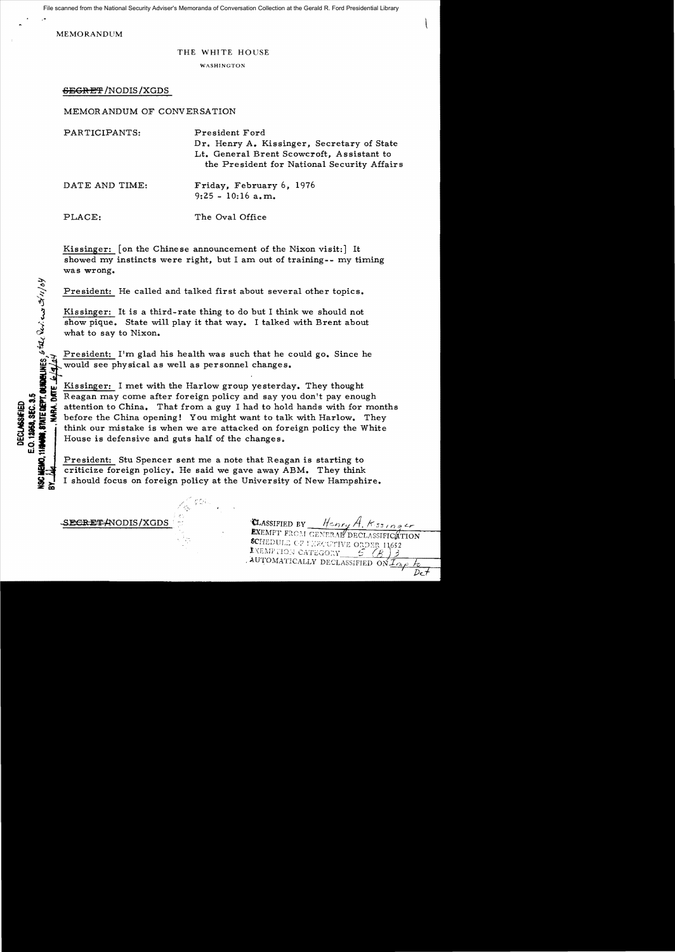File scanned from the National Security Adviser's Memoranda of Conversation Collection at the Gerald R. Ford Presidential Library

 $\mathbf{r}$ ,  $\mathbf{r}$ ,  $\mathbf{r}$ ,  $\mathbf{r}$ ,  $\mathbf{r}$ ,  $\mathbf{r}$ ,  $\mathbf{r}$ ,  $\mathbf{r}$ ,  $\mathbf{r}$ ,  $\mathbf{r}$ ,  $\mathbf{r}$ ,  $\mathbf{r}$ ,  $\mathbf{r}$ ,  $\mathbf{r}$ ,  $\mathbf{r}$ ,  $\mathbf{r}$ ,  $\mathbf{r}$ ,  $\mathbf{r}$ ,  $\mathbf{r}$ ,  $\mathbf{r}$ ,  $\mathbf{r}$ ,  $\mathbf{r}$ , MEMORANDUM

 $\hat{\mathcal{A}}$ 

 $\mathbf{v}$ 

E.O. 12958, SEC. 3.5

CHEMO.

## THE WHITE HOUSE

**WASHINGTON** 

SEGRET / NODIS / XGDS

MEMORANDUM OF CONVERSATION

| PARTICIPANTS:  | President Ford<br>Dr. Henry A. Kissinger, Secretary of State<br>Lt. General Brent Scowcroft, Assistant to<br>the President for National Security Affairs |
|----------------|----------------------------------------------------------------------------------------------------------------------------------------------------------|
| DATE AND TIME: | Friday, February 6, 1976<br>$9:25 - 10:16$ a.m.                                                                                                          |
| PLACE:         | The Oval Office                                                                                                                                          |

Kissinger: [on the Chine se announcement of the Nixon visit:] It showed my instincts were right, but I am out of training-- my timing was wrong.

President: He called and talked first about several other topics.

Kissinger: It is a third-rate thing to do but I think we should not<br>show pique. State will play it that way. I talked with Brent about  $\lambda$  show pique. State will play it that way. I talked with Brent about<br> $\lambda$  what to say to Nixon.

*i*... "If we physical as well as personnel changes. Ince he would see physical as well as personnel changes. Ince he with the Harlow group yesterday. They thought

Reagan may come after foreign policy and say you don't pay enough For  $\frac{1}{2}$  if  $\frac{1}{2}$  attention to China. That from a guy I had to hold hands with for months is the China opening! You might want to talk with Harlow. They<br>  $\frac{1}{2}$  think our mistake is when we are attacked on for think our mistake is when we are attacked on foreign policy the White House is defensive and guts half of the changes.

President: Stu Spencer sent me a note that Reagan is starting to criticize foreign policy. He said we gave away ABM. They think I should focus on foreign policy at the University of New Hampshire.

SECRET#NODIS/XGDS

**CLASSIFIED BY** Henry A.<br>**EXEMPT FROM GENERAL DEC.** SCHEDULE OF TERCUTIVE ORDER 11652 INEMPTION CATEGORY AUTOMATICALLY DECLASSIFIED ON IMP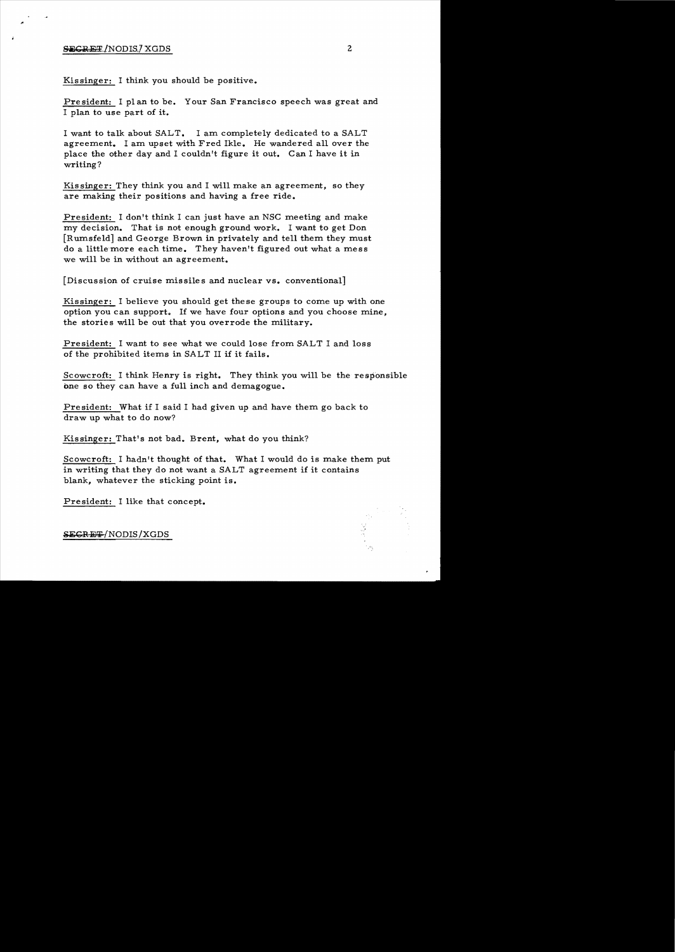## SECRET/NODIS/XGDS 2

Kissinger: I think you should be positive.

President: I plan to be. Your San Francisco speech was great and I plan to use part of it.

I want to talk about SALT. I am completely dedicated to a SALT agreement. I am upset with Fred Ikle. He wandered all over the place the other day and I couldn't figure it out. Can I have it in writing?

Kis singer: They think you and I will make an agreement, so they are making their positions and having a free ride.

President: I don't think I can just have an NSC meeting and make my decision. That is not enough ground work. I want to get Don [Rumsfeld] and George Brown in privately and tell them they must do a little more each time. They haven't figured out what a mess we will be in without an agreement.

[Discussion of cruise missiles and nuclear vs. conventional]

Kissinger: I believe you should get these groups to come up with one option you can support.. If we have four options and you choose mine, the stories will be out that you overrode the military.

President: I want to see what we could lose from SALT I and loss of the prohibited items in SALT II if it fails.

Scowcroft: I think Henry is right. They think you will be the responsible one so they can have a full inch and demagogue.

President: What if I said I had given up and have them go back to draw up what to do now?

Kissinger: That's not bad. Brent, what do you think?

Scowcroft: I hadn't thought of that. What I would do is make them put in writing that they do not want a SALT agreement if it contains blank, whatever the sticking point is.

President: I like that concept.

SECRET/NODIS /XGDS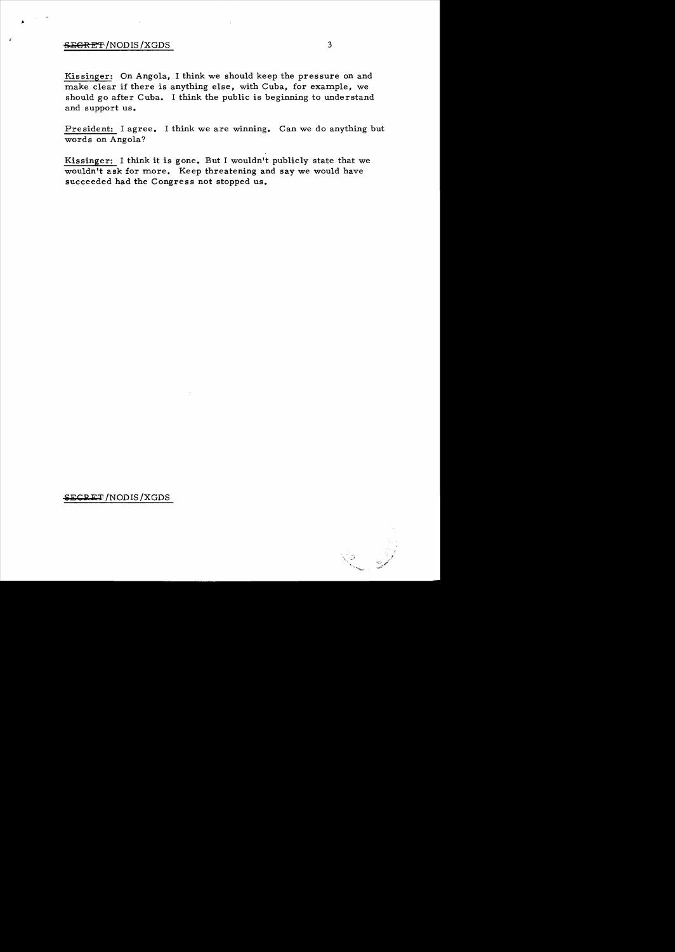## SEGRET/NODIS/XGDS 3

Kissinger: On Angola, I think we should keep the pressure on and make clear if there is anything else, with Cuba, for example, we should go after Cuba. I think the public is beginning to understand and support us.

President: I agree. I think we are winning. Can we do anything but words on Angola?

Kissinger: I think it is gone. But I wouldn't publicly state that we wouldn't ask for more. Keep threatening and say we would have succeeded had the Congress not stopped us.

~ECRET/NODIS/XGDS

\. ,.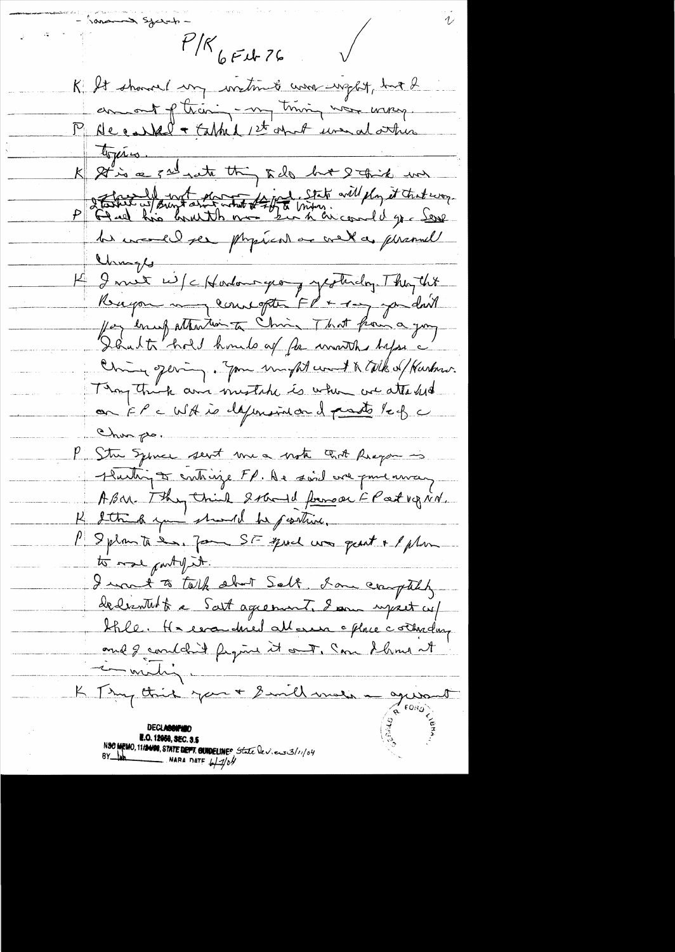mand System  $P/K$  6 F et 76 K It showed un writing word up up hat d amont of their - my trining was wrong. P Accelled + Cathed 1st april une al other topies.<br>It is a sal nate thing to be but I think we  $\mathcal{K}_+$ désire estampt du traite de l'aime.  $\mathcal{P}$ he would see physical or well as phanul Chimps-K I must wife Hordown george optimalog. They this Rupon may countoften FP + 1mg you don't for enus attention to Chris That from a joy Dânt to hold houds of for months before a Chance of every. You in fat went to talk of Kurken. Thoughting and mistake is when we attached on FP a WH is defensived and pasts left Chun po P. Stre Sylver sent me a note ant Pragan is Ruttin De contraise FP. De soit avec pour avec y Asar Thy think Solard formode F Part vg rid. K I think you should be positive. P Splante de, Jan SF quel une part + 1 plan to more party.it. I want to talk about Salt, I am comptaly dederatult a Sait agreement. I am upset cup bhle. He escardied allows office corredance and I couldn't fegure it out, can showed it milig. K Try this you + Smill mes - guant **N.O. 12058, SEC. 3.5** NSC MEMO, 11/2408, STATE DEFT. GUIDELINES State leviens 3/1/04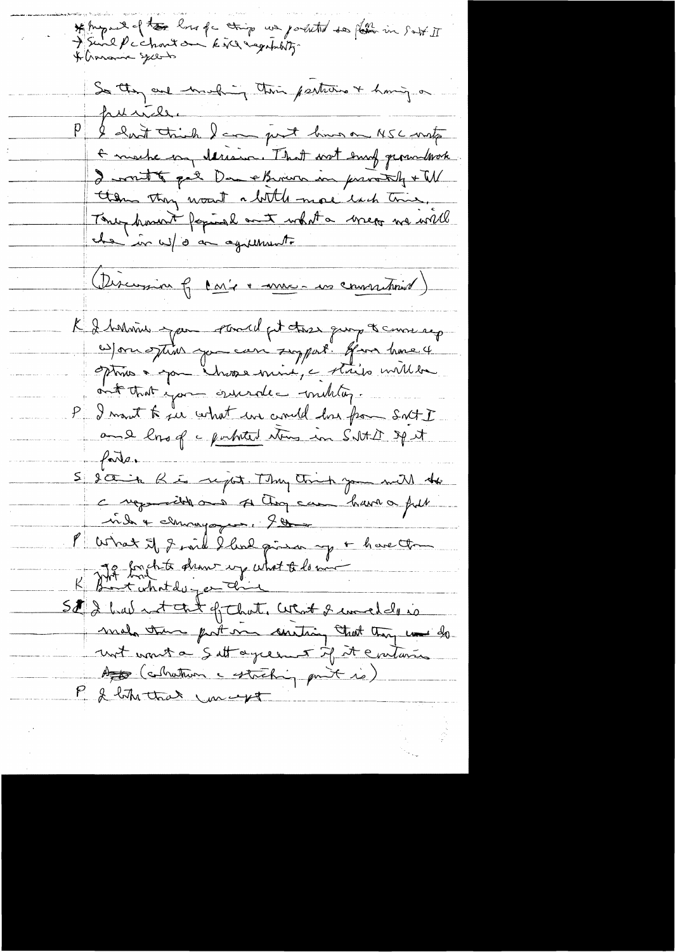\* August of the los of thing we posited to pose in satt II<br>I Sund P c chant on kind eggatulog. So they are much in their partitions of having on punile I had think I am just him on MSC mot + mache on derive. That wat emp gerandwork I writt get De eBrown in provently + W them they want a little more lack this, They howerst faminal and what a wrege we will che in w/ o an agreement. (Discussion 6 cari en me - une commissionnel) K I believe pour pour el pet tres qui de courre rep w/on stim you can support. give home 4 optime a span "Invose mine, a stails millen ont that you invended multig. I mont to ju what we could has from Sort I and long a portated stores in Salte of it farter S socia Rio report. They think you will the composible on A Choque have a full vide & churagoyer, 900 P What it I smil I lead primer up + have the K part boughte draw up what to low St 2 but not that of that, what I uncle is mal the post on contain that they was do not want a Sett agreement if it enteries As (collection estreting part is) P & like that mert